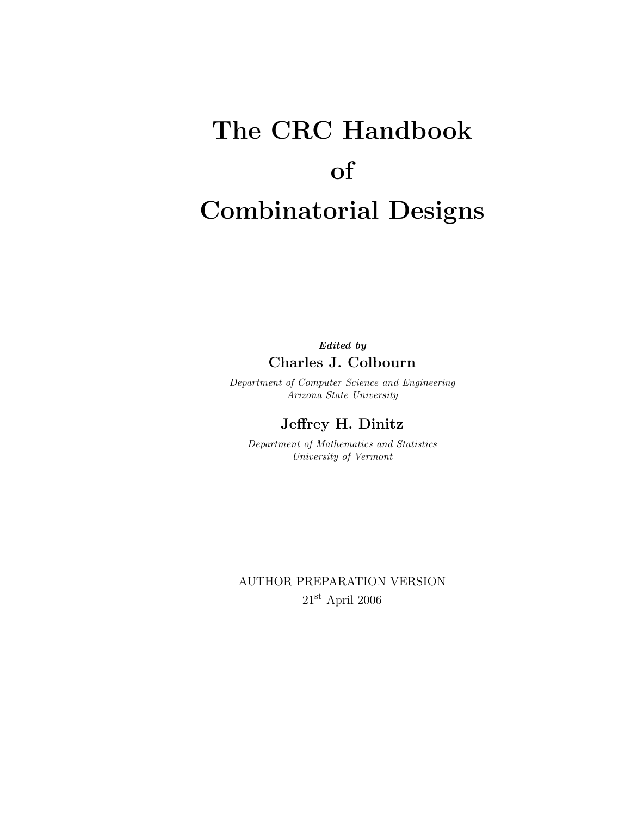# The CRC Handbook of Combinatorial Designs

Edited by Charles J. Colbourn

Department of Computer Science and Engineering Arizona State University

Jeffrey H. Dinitz

Department of Mathematics and Statistics University of Vermont

AUTHOR PREPARATION VERSION 21st April 2006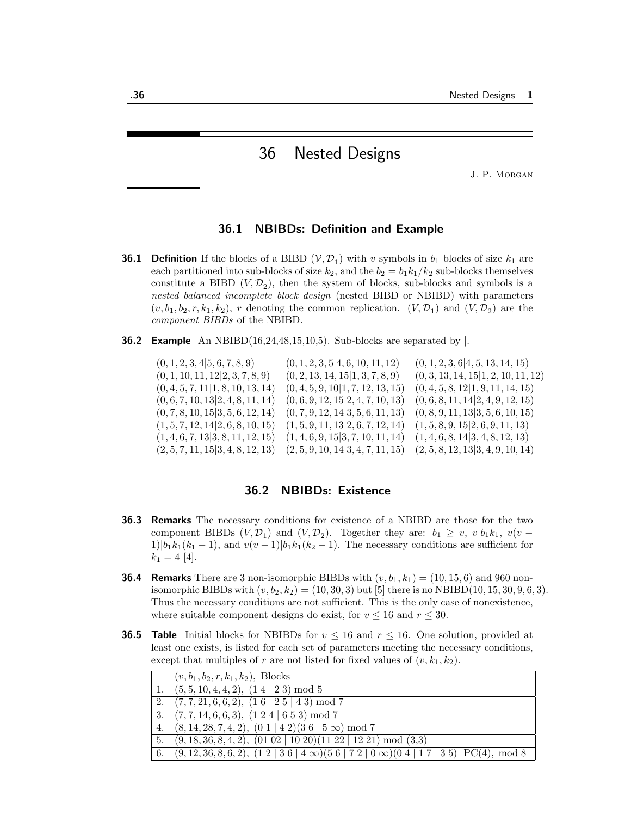# 36 Nested Designs

J. P. Morgan

## 36.1 NBIBDs: Definition and Example

- **36.1 Definition** If the blocks of a BIBD  $(V, \mathcal{D}_1)$  with v symbols in  $b_1$  blocks of size  $k_1$  are each partitioned into sub-blocks of size  $k_2$ , and the  $b_2 = b_1k_1/k_2$  sub-blocks themselves constitute a BIBD  $(V, \mathcal{D}_2)$ , then the system of blocks, sub-blocks and symbols is a nested balanced incomplete block design (nested BIBD or NBIBD) with parameters  $(v, b_1, b_2, r, k_1, k_2)$ , r denoting the common replication.  $(V, \mathcal{D}_1)$  and  $(V, \mathcal{D}_2)$  are the component BIBDs of the NBIBD.
- **36.2 Example** An NBIBD(16,24,48,15,10,5). Sub-blocks are separated by  $\vert$ .

 $(0, 1, 2, 3, 4|5, 6, 7, 8, 9)$   $(0, 1, 2, 3, 5|4, 6, 10, 11, 12)$   $(0, 1, 2, 3, 6|4, 5, 13, 14, 15)$  $(0, 1, 10, 11, 12|2, 3, 7, 8, 9)$   $(0, 2, 13, 14, 15|1, 3, 7, 8, 9)$   $(0, 3, 13, 14, 15|1, 2, 10, 11, 12)$  $(0, 4, 5, 7, 11|1, 8, 10, 13, 14)$   $(0, 4, 5, 9, 10|1, 7, 12, 13, 15)$   $(0, 4, 5, 8, 12|1, 9, 11, 14, 15)$  $(0, 6, 7, 10, 13|2, 4, 8, 11, 14)$   $(0, 6, 9, 12, 15|2, 4, 7, 10, 13)$   $(0, 6, 8, 11, 14|2, 4, 9, 12, 15)$  $(0, 7, 8, 10, 15 | 3, 5, 6, 12, 14)$   $(0, 7, 9, 12, 14 | 3, 5, 6, 11, 13)$   $(0, 8, 9, 11, 13 | 3, 5, 6, 10, 15)$  $(1, 5, 7, 12, 14|2, 6, 8, 10, 15)$   $(1, 5, 9, 11, 13|2, 6, 7, 12, 14)$   $(1, 5, 8, 9, 15|2, 6, 9, 11, 13)$  $(1, 4, 6, 7, 13|3, 8, 11, 12, 15)$   $(1, 4, 6, 9, 15|3, 7, 10, 11, 14)$   $(1, 4, 6, 8, 14|3, 4, 8, 12, 13)$  $(2, 5, 7, 11, 15|3, 4, 8, 12, 13)$   $(2, 5, 9, 10, 14|3, 4, 7, 11, 15)$   $(2, 5, 8, 12, 13|3, 4, 9, 10, 14)$ 

## 36.2 NBIBDs: Existence

- 36.3 Remarks The necessary conditions for existence of a NBIBD are those for the two component BIBDs  $(V, \mathcal{D}_1)$  and  $(V, \mathcal{D}_2)$ . Together they are:  $b_1 \geq v$ ,  $v|b_1k_1$ ,  $v(v 1|b_1k_1(k_1-1)$ , and  $v(v-1)|b_1k_1(k_2-1)$ . The necessary conditions are sufficient for  $k_1 = 4$  [4].
- **36.4 Remarks** There are 3 non-isomorphic BIBDs with  $(v, b_1, k_1) = (10, 15, 6)$  and 960 nonisomorphic BIBDs with  $(v, b_2, k_2) = (10, 30, 3)$  but [5] there is no NBIBD(10, 15, 30, 9, 6, 3). Thus the necessary conditions are not sufficient. This is the only case of nonexistence, where suitable component designs do exist, for  $v \le 16$  and  $r \le 30$ .
- **36.5 Table** Initial blocks for NBIBDs for  $v \le 16$  and  $r \le 16$ . One solution, provided at least one exists, is listed for each set of parameters meeting the necessary conditions, except that multiples of r are not listed for fixed values of  $(v, k_1, k_2)$ .

|    | $(v, b_1, b_2, r, k_1, k_2)$ , Blocks                                                                  |
|----|--------------------------------------------------------------------------------------------------------|
| 1. | $(5,5,10,4,4,2), (1 4   2 3) \bmod 5$                                                                  |
|    | 2. $(7, 7, 21, 6, 6, 2), (1 \ 6 \ 2 \ 5 \ 4 \ 3) \mod 7$                                               |
|    | 3. $(7, 7, 14, 6, 6, 3), (1 \ 2 \ 4 \   \ 6 \ 5 \ 3) \mod 7$                                           |
|    | 4. $(8, 14, 28, 7, 4, 2), (0 1   4 2)(3 6   5 \infty) \mod 7$                                          |
| 5. | $(9, 18, 36, 8, 4, 2), (01 02   10 20)(11 22   12 21) \text{ mod } (3,3)$                              |
|    | 6. $(9,12,36,8,6,2), (1\ 2\ 3\ 6\ 4\ \infty)(5\ 6\ 7\ 2\ 0\ \infty)(0\ 4\ 1\ 7\ 1\ 3\ 5)$ PC(4), mod 8 |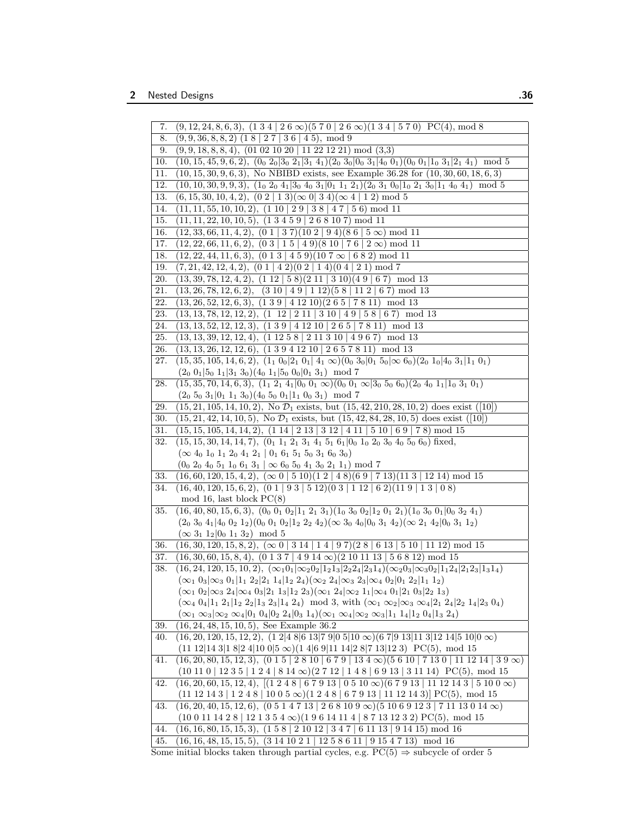| 7.       | $(9, 12, 24, 8, 6, 3), \overline{(1\ 3\ 4\ 2\ 6\ \infty)(5\ 7\ 0\ 2\ 6\ \infty)(1\ 3\ 4\ 5\ 7\ 0)}$ PC(4), mod 8                                                                         |
|----------|------------------------------------------------------------------------------------------------------------------------------------------------------------------------------------------|
| 8.       | $(9,9,36,8,8,2)$ $(18 \mid 27 \mid 36 \mid 45)$ , mod 9                                                                                                                                  |
| 9.       | $(9,9,18,8,8,4), (01 02 10 20   11 22 12 21) \mod (3,3)$                                                                                                                                 |
| 10.      | $(10, 15, 45, 9, 6, 2), (0_0 2_0 3_0 2_1 3_1 4_1)(2_0 3_0 0_0 3_1 4_0 0_1)(0_0 0_1 1_0 3_1 2_1 4_1 \mod 5$                                                                               |
| 11.      | $(10, 15, 30, 9, 6, 3)$ , No NBIBD exists, see Example 36.28 for $(10, 30, 60, 18, 6, 3)$                                                                                                |
| 12.      | $(10, 10, 30, 9, 9, 3), (1_0 2_0 4_1 3_0 4_0 3_1 0_1 1_1 2_1)(2_0 3_1 0_0 1_0 2_1 3_0 1_1 4_0 4_1) \mod 5$                                                                               |
| 13.      | $(6, 15, 30, 10, 4, 2), (0 \ 2 \   \ 1 \ 3)(\infty \ 0 \   \ 3 \ 4)(\infty \ 4 \   \ 1 \ 2) \mod 5$                                                                                      |
| 14.      | $(11, 11, 55, 10, 10, 2), (1 10   2 9   3 8   4 7   5 6) \bmod{11}$                                                                                                                      |
| 15.      | $(11, 11, 22, 10, 10, 5), (1 \ 3 \ 4 \ 5 \ 9 \ 2 \ 6 \ 8 \ 10 \ 7) \mod 11$                                                                                                              |
| 16.      | $(12, 33, 66, 11, 4, 2), (0 1   3 7)(10 2   9 4)(8 6   5 \infty) \text{ mod } 11$                                                                                                        |
| 17.      | $(12, 22, 66, 11, 6, 2), (0 \ 3 \   \ 1 \ 5 \   \ 4 \ 9)(8 \ 10 \   \ 7 \ 6 \   \ 2 \infty) \mod 11$                                                                                     |
| 18.      | $(12, 22, 44, 11, 6, 3), (0 1 3   4 5 9)(10 7 \infty   6 8 2) \text{ mod } 11$                                                                                                           |
| 19.      | $(7, 21, 42, 12, 4, 2), (0 1   4 2)(0 2   1 4)(0 4   2 1) \text{ mod } 7$                                                                                                                |
| 20.      | $(13, 39, 78, 12, 4, 2), (1 12   5 8)(2 11   3 10)(4 9   6 7) \mod 13$                                                                                                                   |
| 21.      | $(13, 26, 78, 12, 6, 2), (3 10   4 9   1 12)(5 8   11 2   6 7) \text{ mod } 13$                                                                                                          |
| $22. \,$ | $(13, 26, 52, 12, 6, 3), (1\ 3\ 9\ 4\ 12\ 10)(2\ 6\ 5\ 7\ 8\ 11) \mod 13$                                                                                                                |
| 23.      | $(13, 13, 78, 12, 12, 2), (1 \ 12 \ 12 \ 11 \ 13 \ 10 \ 14 \ 9 \ 15 \ 8 \ 6 \ 7) \mod 13$                                                                                                |
| 24.      | $(13, 13, 52, 12, 12, 3), (1\ 3\ 9\ 4\ 12\ 10\ 2\ 6\ 5\ 7\ 8\ 11) \mod 13$                                                                                                               |
| 25.      | $(13, 13, 39, 12, 12, 4), (1\ 12\ 5\ 8\ 2\ 11\ 3\ 10\ 4\ 9\ 6\ 7) \mod 13$                                                                                                               |
| 26.      | $(13, 13, 26, 12, 12, 6), (1\ 3\ 9\ 4\ 12\ 10\ 2\ 6\ 5\ 7\ 8\ 11) \mod 13$                                                                                                               |
| 27.      | $(15, 35, 105, 14, 6, 2), (1_1 0_0   2_1 0_1   4_1 \infty) (0_0 3_0   0_1 5_0   \infty 6_0) (2_0 1_0   4_0 3_1   1_1 0_1)$                                                               |
|          | $(2_0 0_1   5_0 1_1   3_1 3_0) (4_0 1_1   5_0 0_0   0_1 3_1) \mod 7$                                                                                                                     |
| 28.      | $(15, 35, 70, 14, 6, 3), (1_1 2_1 4_1)0_0 0_1 \infty)$ $(0_0 0_1 \infty)3_0 5_0 6_0)$ $(2_0 4_0 1_1)1_0 3_1 0_1)$                                                                        |
|          | $(2_0 5_0 3_1   0_1 1_1 3_0) (4_0 5_0 0_1   1_1 0_0 3_1) \mod 7$                                                                                                                         |
| 29.      | $(15, 21, 105, 14, 10, 2)$ , No $\mathcal{D}_1$ exists, but $(15, 42, 210, 28, 10, 2)$ does exist $([10])$                                                                               |
| 30.      | $(15, 21, 42, 14, 10, 5)$ , No $\mathcal{D}_1$ exists, but $(15, 42, 84, 28, 10, 5)$ does exist $([10])$                                                                                 |
| 31.      | $(15, 15, 105, 14, 14, 2), (1 \ 14 \ 1 \ 2 \ 13 \ 1 \ 3 \ 12 \ 1 \ 4 \ 11 \ 1 \ 5 \ 10 \ 1 \ 6 \ 9 \ 1 \ 7 \ 8) \mod 15$                                                                 |
| 32.      | $(15, 15, 30, 14, 14, 7), (0_1 1_1 2_1 3_1 4_1 5_1 6_1)0_0 1_0 2_0 3_0 4_0 5_0 6_0$ fixed,                                                                                               |
|          | $(\infty 4_0 1_0 1_1 2_0 4_1 2_1 0_1 6_1 5_1 5_0 3_1 6_0 3_0)$                                                                                                                           |
|          | $(0_0 2_0 4_0 5_1 1_0 6_1 3_1 \mid \infty 6_0 5_0 4_1 3_0 2_1 1_1) \mod 7$                                                                                                               |
| 33.      | $(16, 60, 120, 15, 4, 2), (\infty \ 0 \   \ 5 \ 10)(1 \ 2 \   \ 4 \ 8)(6 \ 9 \   \ 7 \ 13)(11 \ 3 \   \ 12 \ 14) \mod 15$                                                                |
| 34.      | $(16, 40, 120, 15, 6, 2), (0 1   9 3   5 12)(0 3   1 12   6 2)(11 9   1 3   0 8)$                                                                                                        |
|          | mod 16, last block $PC(8)$                                                                                                                                                               |
| 35.      | $(16, 40, 80, 15, 6, 3), (0_0 0_1 0_2)1_1 2_1 3_1)(1_0 3_0 0_2)1_2 0_1 2_1)(1_0 3_0 0_1)0_0 3_2 4_1)$                                                                                    |
|          | $(2_0 3_0 4_1 4_0 0_2 1_2)(0_0 0_1 0_2 1_2 2_2 4_2)(\infty 3_0 4_0 0_0 3_1 4_2)(\infty 2_1 4_2 0_0 3_1 1_2)$                                                                             |
|          | $(\infty 3_1 1_2   0_0 1_1 3_2) \mod 5$                                                                                                                                                  |
| 36.      | $(16, 30, 120, 15, 8, 2), (\infty 0 \mid 3 \cdot 14 \mid 1 \cdot 4 \mid 9 \cdot 7)(2 \cdot 8 \mid 6 \cdot 13 \mid 5 \cdot 10 \mid 11 \cdot 12) \mod 15$                                  |
| 37.      | $(16, 30, 60, 15, 8, 4), (0 1 3 7   4 9 14 \infty) (2 10 11 13   5 6 8 12) \mod 15$                                                                                                      |
| 38.      |                                                                                                                                                                                          |
|          | $(16, 24, 120, 15, 10, 2), (\infty_1 0_1   \infty_2 0_2   1_2 1_3   2_2 2_4   2_3 1_4) (\infty_2 0_3   \infty_3 0_2   1_1 2_4   2_1 2_3   1_3 1_4)$                                      |
|          | $(\infty_1 0_3   \infty_3 0_1   1_1 2_2   2_1 1_4   1_2 2_4) (\infty_2 2_4   \infty_3 2_3   \infty_4 0_2   0_1 2_2   1_1 1_2)$                                                           |
|          | $(\infty_1 0_2   \infty_3 2_4   \infty_4 0_3   2_1 1_3   1_2 2_3) (\infty_1 2_4   \infty_2 1_1   \infty_4 0_1   2_1 0_3   2_2 1_3)$                                                      |
|          | $(\infty_4 0_4   1_1 2_1   1_2 2_2   1_3 2_3   1_4 2_4) \mod 3$ , with $(\infty_1 \infty_2   \infty_3 \infty_4   2_1 2_4   2_2 1_4   2_3 0_4)$                                           |
|          | $(\infty_1 \infty_3   \infty_2 \infty_4   0_1 0_4   0_2 2_4   0_3 1_4) (\infty_1 \infty_4   \infty_2 \infty_3   1_1 1_4   1_2 0_4   1_3 2_4)$                                            |
| 39.      | $(16, 24, 48, 15, 10, 5)$ , See Example 36.2                                                                                                                                             |
| 40.      | $(16, 20, 120, 15, 12, 2), (1\ 2 4\ 8 6\ 13 7\ 9 0\ 5 10\ \infty)(6\ 7 9\ 13 11\ 3 12\ 14 5\ 10 0\ \infty)$                                                                              |
|          | $(11\ 12 14\ 3 1\ 8 2\ 4 10\ 0 5\ \infty)(1\ 4 6\ 9 11\ 14 2\ 8 7\ 13 12\ 3)\ \text{PC}(5)$ , mod 15                                                                                     |
| 41.      | $(16, 20, 80, 15, 12, 3), (0 1 5   2 8 10   6 7 9   13 4 \infty)(5 6 10   7 13 0   11 12 14   3 9 \infty)$                                                                               |
|          | $(10\ 11\ 0\ 12\ 3\ 5\ 1\ 2\ 4\ 8\ 14\ \infty)(2\ 7\ 12\ 1\ 4\ 8\ 6\ 9\ 13\ 3\ 11\ 14)\ P\text{C}(5),\ \text{mod }15$                                                                    |
| 42.      | $(16, 20, 60, 15, 12, 4), [ (1 2 4 8   6 7 9 13   0 5 10 \infty) (6 7 9 13   11 12 14 3   5 10 0 \infty)$                                                                                |
|          | $(11\ 12\ 14\ 3\ 1\ 2\ 4\ 8\ 10\ 0\ 5\ \infty)(1\ 2\ 4\ 8\ 6\ 7\ 9\ 13\ 11\ 12\ 14\ 3)]$ PC(5), mod 15                                                                                   |
| 43.      | $(16, 20, 40, 15, 12, 6), (0 5 1 4 7 13   2 6 8 10 9 \infty) (5 10 6 9 12 3   7 11 13 0 14 \infty)$                                                                                      |
|          | $(100111428   121354\infty)(19614114   87131232) PC(5), mod 15$                                                                                                                          |
| 44.      | $(16, 16, 80, 15, 15, 3), (1 5 8   2 10 12   3 4 7   6 11 13   9 14 15) \text{ mod } 16$                                                                                                 |
| 45.      | $(16, 16, 48, 15, 15, 5), (3\ 14\ 10\ 2\ 1\ 12\ 5\ 8\ 6\ 11\ 9\ 15\ 4\ 7\ 13) \mod 16$<br>Some initial blocks taken through partial cycles, e.g. $PC(5) \Rightarrow$ subcycle of order 5 |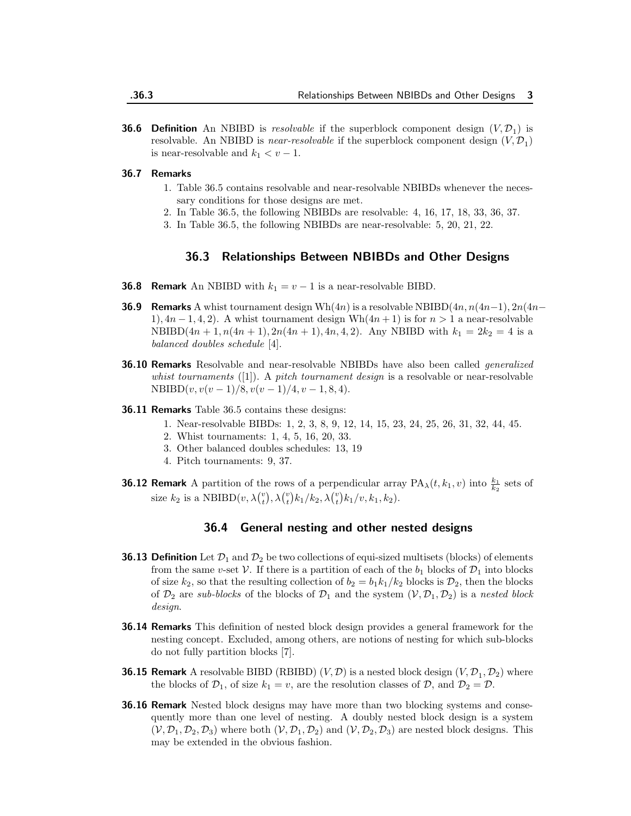**36.6 Definition** An NBIBD is resolvable if the superblock component design  $(V, \mathcal{D}_1)$  is resolvable. An NBIBD is *near-resolvable* if the superblock component design  $(V, \mathcal{D}_1)$ is near-resolvable and  $k_1 < v - 1$ .

#### 36.7 Remarks

- 1. Table 36.5 contains resolvable and near-resolvable NBIBDs whenever the necessary conditions for those designs are met.
- 2. In Table 36.5, the following NBIBDs are resolvable: 4, 16, 17, 18, 33, 36, 37.
- 3. In Table 36.5, the following NBIBDs are near-resolvable: 5, 20, 21, 22.

# 36.3 Relationships Between NBIBDs and Other Designs

- **36.8 Remark** An NBIBD with  $k_1 = v 1$  is a near-resolvable BIBD.
- **36.9 Remarks** A whist tournament design Wh $(4n)$  is a resolvable NBIBD $(4n, n(4n-1), 2n(4n-1))$ 1),  $4n-1, 4, 2$ . A whist tournament design Wh $(4n+1)$  is for  $n>1$  a near-resolvable NBIBD $(4n + 1, n(4n + 1), 2n(4n + 1), 4n, 4, 2)$ . Any NBIBD with  $k_1 = 2k_2 = 4$  is a balanced doubles schedule [4].
- **36.10 Remarks** Resolvable and near-resolvable NBIBDs have also been called *generalized* whist tournaments  $([1])$ . A pitch tournament design is a resolvable or near-resolvable  $NBIBD(v, v(v-1)/8, v(v-1)/4, v-1, 8, 4).$
- **36.11 Remarks** Table 36.5 contains these designs:
	- 1. Near-resolvable BIBDs: 1, 2, 3, 8, 9, 12, 14, 15, 23, 24, 25, 26, 31, 32, 44, 45.
	- 2. Whist tournaments: 1, 4, 5, 16, 20, 33.
	- 3. Other balanced doubles schedules: 13, 19
	- 4. Pitch tournaments: 9, 37.
- **36.12 Remark** A partition of the rows of a perpendicular array  $PA_{\lambda}(t, k_1, v)$  into  $\frac{k_1}{k_2}$  sets of size  $k_2$  is a NBIBD $(v, \lambda \binom{v}{t}, \lambda \binom{v}{t} k_1/k_2, \lambda \binom{v}{t} k_1/v, k_1, k_2)$ .

# 36.4 General nesting and other nested designs

- **36.13 Definition** Let  $\mathcal{D}_1$  and  $\mathcal{D}_2$  be two collections of equi-sized multisets (blocks) of elements from the same v-set V. If there is a partition of each of the  $b_1$  blocks of  $\mathcal{D}_1$  into blocks of size  $k_2$ , so that the resulting collection of  $b_2 = b_1 k_1/k_2$  blocks is  $\mathcal{D}_2$ , then the blocks of  $\mathcal{D}_2$  are sub-blocks of the blocks of  $\mathcal{D}_1$  and the system  $(\mathcal{V}, \mathcal{D}_1, \mathcal{D}_2)$  is a nested block design.
- **36.14 Remarks** This definition of nested block design provides a general framework for the nesting concept. Excluded, among others, are notions of nesting for which sub-blocks do not fully partition blocks [7].
- **36.15 Remark** A resolvable BIBD (RBIBD)  $(V, \mathcal{D})$  is a nested block design  $(V, \mathcal{D}_1, \mathcal{D}_2)$  where the blocks of  $\mathcal{D}_1$ , of size  $k_1 = v$ , are the resolution classes of  $\mathcal{D}$ , and  $\mathcal{D}_2 = \mathcal{D}$ .
- **36.16 Remark** Nested block designs may have more than two blocking systems and consequently more than one level of nesting. A doubly nested block design is a system  $(V, \mathcal{D}_1, \mathcal{D}_2, \mathcal{D}_3)$  where both  $(V, \mathcal{D}_1, \mathcal{D}_2)$  and  $(V, \mathcal{D}_2, \mathcal{D}_3)$  are nested block designs. This may be extended in the obvious fashion.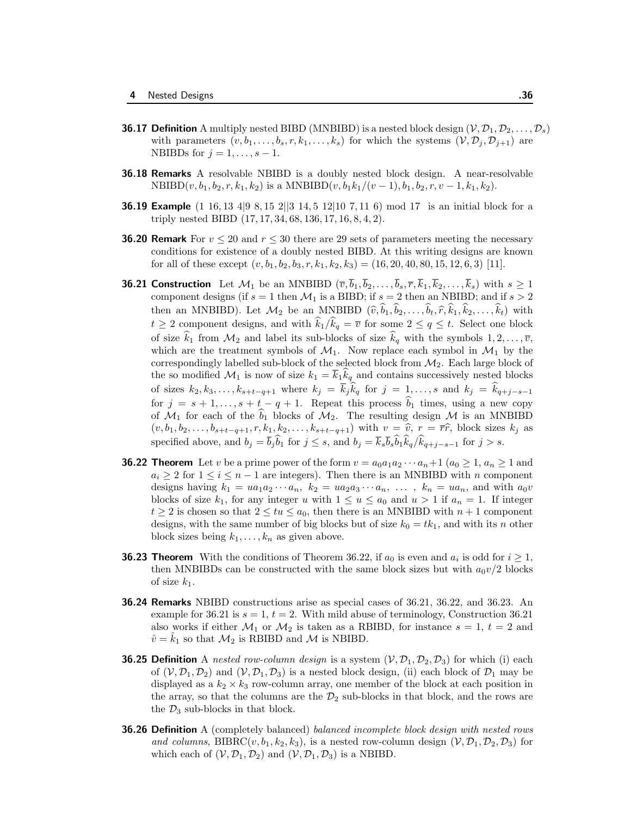- **36.17 Definition** A multiply nested BIBD (MNBIBD) is a nested block design  $(\mathcal{V}, \mathcal{D}_1, \mathcal{D}_2, \ldots, \mathcal{D}_s)$ with parameters  $(v, b_1, \ldots, b_s, r, k_1, \ldots, k_s)$  for which the systems  $(\mathcal{V}, \mathcal{D}_i, \mathcal{D}_{i+1})$  are NBIBDs for  $j = 1, \ldots, s - 1$ .
- **36.18 Remarks** A resolvable NBIBD is a doubly nested block design. A near-resolvable  $NBIBD(v, b<sub>1</sub>, b<sub>2</sub>, r, k<sub>1</sub>, k<sub>2</sub>)$  is a  $MNBIBD(v, b<sub>1</sub>k<sub>1</sub>/(v - 1), b<sub>1</sub>, b<sub>2</sub>, r, v - 1, k<sub>1</sub>, k<sub>2</sub>).$
- **36.19 Example** (1 16, 13 4 | 9 8, 15 2 | | | 3 14, 5 12 | 10 7, 11 6) mod 17 is an initial block for a triply nested BIBD (17, 17, 34, 68, 136, 17, 16, 8, 4, 2).
- **36.20 Remark** For  $v \le 20$  and  $r \le 30$  there are 29 sets of parameters meeting the necessary conditions for existence of a doubly nested BIBD. At this writing designs are known for all of these except  $(v, b_1, b_2, b_3, r, k_1, k_2, k_3) = (16, 20, 40, 80, 15, 12, 6, 3)$  [11].
- **36.21 Construction** Let  $\mathcal{M}_1$  be an MNBIBD  $(\overline{v}, \overline{b}_1, \overline{b}_2, \ldots, \overline{b}_s, \overline{r}, \overline{k}_1, \overline{k}_2, \ldots, \overline{k}_s)$  with  $s \geq 1$ component designs (if  $s = 1$  then  $\mathcal{M}_1$  is a BIBD; if  $s = 2$  then an NBIBD; and if  $s > 2$ then an MNBIBD). Let  $\mathcal{M}_2$  be an MNBIBD  $(\widehat{v}, \widehat{b}_1, \widehat{b}_2, \ldots, \widehat{b}_t, \widehat{r}, \widehat{k}_1, \widehat{k}_2, \ldots, \widehat{k}_t)$  with  $t \geq 2$  component designs, and with  $\widehat{k}_1/\widehat{k}_q = \overline{v}$  for some  $2 \leq q \leq t$ . Select one block of size  $\hat{k}_1$  from  $\mathcal{M}_2$  and label its sub-blocks of size  $\hat{k}_q$  with the symbols  $1, 2, \ldots, \overline{v}$ , which are the treatment symbols of  $\mathcal{M}_1$ . Now replace each symbol in  $\mathcal{M}_1$  by the correspondingly labelled sub-block of the selected block from  $\mathcal{M}_2$ . Each large block of the so modified  $\mathcal{M}_1$  is now of size  $k_1 = k_1 k_q$  and contains successively nested blocks of sizes  $k_2, k_3, \ldots, k_{s+t-q+1}$  where  $k_j = k_j k_q$  for  $j = 1, \ldots, s$  and  $k_j = k_{q+j-s-1}$ for  $j = s + 1, \ldots, s + t - q + 1$ . Repeat this process  $\hat{b}_1$  times, using a new copy of  $\mathcal{M}_1$  for each of the  $b_1$  blocks of  $\mathcal{M}_2$ . The resulting design  $\mathcal M$  is an MNBIBD  $(v, b_1, b_2, \ldots, b_{s+t-q+1}, r, k_1, k_2, \ldots, k_{s+t-q+1})$  with  $v = \hat{v}, r = \overline{r}\hat{r}$ , block sizes  $k_j$  as specified above, and  $b_j = b_j b_1$  for  $j \leq s$ , and  $b_j = k_s b_s b_1 k_q / k_{q+j-s-1}$  for  $j > s$ .
- **36.22 Theorem** Let v be a prime power of the form  $v = a_0a_1a_2\cdots a_n+1$   $(a_0 \geq 1, a_n \geq 1$  and  $a_i \geq 2$  for  $1 \leq i \leq n-1$  are integers). Then there is an MNBIBD with n component designs having  $k_1 = ua_1a_2 \cdots a_n$ ,  $k_2 = ua_2a_3 \cdots a_n$ , ...,  $k_n = ua_n$ , and with  $a_0v$ blocks of size  $k_1$ , for any integer u with  $1 \le u \le a_0$  and  $u > 1$  if  $a_n = 1$ . If integer  $t \geq 2$  is chosen so that  $2 \leq tu \leq a_0$ , then there is an MNBIBD with  $n+1$  component designs, with the same number of big blocks but of size  $k_0 = tk_1$ , and with its n other block sizes being  $k_1, \ldots, k_n$  as given above.
- **36.23 Theorem** With the conditions of Theorem 36.22, if  $a_0$  is even and  $a_i$  is odd for  $i \ge 1$ , then MNBIBDs can be constructed with the same block sizes but with  $a_0v/2$  blocks of size  $k_1$ .
- **36.24 Remarks** NBIBD constructions arise as special cases of 36.21, 36.22, and 36.23. An example for 36.21 is  $s = 1$ ,  $t = 2$ . With mild abuse of terminology, Construction 36.21 also works if either  $\mathcal{M}_1$  or  $\mathcal{M}_2$  is taken as a RBIBD, for instance  $s = 1, t = 2$  and  $\hat{v} = \hat{k}_1$  so that  $\mathcal{M}_2$  is RBIBD and  $\mathcal{M}$  is NBIBD.
- **36.25 Definition** A nested row-column design is a system  $(\mathcal{V}, \mathcal{D}_1, \mathcal{D}_2, \mathcal{D}_3)$  for which (i) each of  $(V, \mathcal{D}_1, \mathcal{D}_2)$  and  $(V, \mathcal{D}_1, \mathcal{D}_3)$  is a nested block design, (ii) each block of  $\mathcal{D}_1$  may be displayed as a  $k_2 \times k_3$  row-column array, one member of the block at each position in the array, so that the columns are the  $\mathcal{D}_2$  sub-blocks in that block, and the rows are the  $\mathcal{D}_3$  sub-blocks in that block.
- **36.26 Definition** A (completely balanced) balanced incomplete block design with nested rows and columns, BIBRC(v,  $b_1, k_2, k_3$ ), is a nested row-column design  $(\mathcal{V}, \mathcal{D}_1, \mathcal{D}_2, \mathcal{D}_3)$  for which each of  $(\mathcal{V}, \mathcal{D}_1, \mathcal{D}_2)$  and  $(\mathcal{V}, \mathcal{D}_1, \mathcal{D}_3)$  is a NBIBD.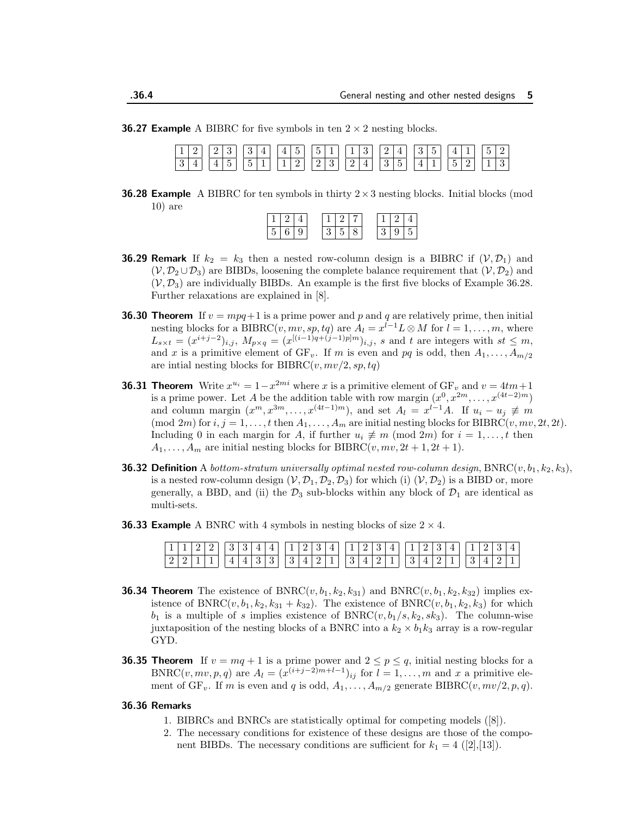**36.27 Example** A BIBRC for five symbols in ten  $2 \times 2$  nesting blocks.

| $\boxed{1\ 2}\ \boxed{2\ 3}\ \boxed{3\ 4}\ \boxed{4\ 5}\ \boxed{5\ 1}\ \boxed{1\ 3}\ \boxed{2\ 4}\ \boxed{3\ 5}\ \boxed{4\ 1}\ \boxed{5\ 2}$ |  |  |  |  |  |  |  |  |  |  |  |  |  |  |
|----------------------------------------------------------------------------------------------------------------------------------------------|--|--|--|--|--|--|--|--|--|--|--|--|--|--|
| $\boxed{3 4}$ $\boxed{4 5}$ $\boxed{5 1}$ $\boxed{1 2}$ $\boxed{2 3}$ $\boxed{2 4}$ $\boxed{3 5}$ $\boxed{4 1}$ $\boxed{5 2}$ $\boxed{1 3}$  |  |  |  |  |  |  |  |  |  |  |  |  |  |  |

**36.28 Example** A BIBRC for ten symbols in thirty  $2 \times 3$  nesting blocks. Initial blocks (mod 10) are

| $\mathsf{I}$<br>г. |  |  |  |  |  |
|--------------------|--|--|--|--|--|

- **36.29 Remark** If  $k_2 = k_3$  then a nested row-column design is a BIBRC if  $(\mathcal{V}, \mathcal{D}_1)$  and  $(V, \mathcal{D}_2 \cup \mathcal{D}_3)$  are BIBDs, loosening the complete balance requirement that  $(V, \mathcal{D}_2)$  and  $(V, \mathcal{D}_3)$  are individually BIBDs. An example is the first five blocks of Example 36.28. Further relaxations are explained in [8].
- **36.30 Theorem** If  $v = mpq + 1$  is a prime power and p and q are relatively prime, then initial nesting blocks for a BIBRC $(v, mv, sp, tq)$  are  $A_l = x^{\overline{l}-1}L \otimes M$  for  $l = 1, ..., m$ , where  $L_{s \times t} = (x^{i+j-2})_{i,j}, M_{p \times q} = (x^{[(i-1)q + (j-1)p]m})_{i,j}, s$  and t are integers with  $st \leq m$ , and x is a primitive element of  $GF_v$ . If m is even and pq is odd, then  $A_1, \ldots, A_{m/2}$ are intial nesting blocks for BIBRC $(v, mv/2, sp, tq)$
- **36.31 Theorem** Write  $x^{u_i} = 1 x^{2mi}$  where x is a primitive element of  $GF_v$  and  $v = 4tm + 1$ is a prime power. Let A be the addition table with row margin  $(x^0, x^{2m}, \ldots, x^{(4t-2)m})$ and column margin  $(x^m, x^{3m}, \ldots, x^{(4t-1)m})$ , and set  $A_l = x^{l-1}A$ . If  $u_i - u_j \neq m$ (mod 2m) for  $i, j = 1, ..., t$  then  $A_1, ..., A_m$  are initial nesting blocks for BIBRC(v, mv, 2t, 2t). Including 0 in each margin for A, if further  $u_i \neq m \pmod{2m}$  for  $i = 1, \ldots, t$  then  $A_1, \ldots, A_m$  are initial nesting blocks for BIBRC(v,  $mv, 2t + 1, 2t + 1$ ).
- **36.32 Definition** A bottom-stratum universally optimal nested row-column design, BNRC(v,  $b_1, k_2, k_3$ ), is a nested row-column design  $(\mathcal{V}, \mathcal{D}_1, \mathcal{D}_2, \mathcal{D}_3)$  for which (i)  $(\mathcal{V}, \mathcal{D}_2)$  is a BIBD or, more generally, a BBD, and (ii) the  $\mathcal{D}_3$  sub-blocks within any block of  $\mathcal{D}_1$  are identical as multi-sets.
- **36.33 Example** A BNRC with 4 symbols in nesting blocks of size  $2 \times 4$ .

|  | $\boxed{1 \mid 1 \mid 2 \mid 2}$ $\boxed{3 \mid 3 \mid 4 \mid 4}$ $\boxed{1 \mid 2 \mid 3 \mid 4}$ $\boxed{1 \mid 2 \mid 3 \mid 4}$ $\boxed{1 \mid 2 \mid 3 \mid 4}$ $\boxed{1 \mid 2 \mid 3 \mid 4}$ |  |  |  |  |  |  |  |  |  |  |  |  |  |
|--|-------------------------------------------------------------------------------------------------------------------------------------------------------------------------------------------------------|--|--|--|--|--|--|--|--|--|--|--|--|--|
|  |                                                                                                                                                                                                       |  |  |  |  |  |  |  |  |  |  |  |  |  |

- **36.34 Theorem** The existence of  $BNRC(v, b_1, k_2, k_{31})$  and  $BNRC(v, b_1, k_2, k_{32})$  implies existence of  $BNRC(v, b_1, k_2, k_{31} + k_{32})$ . The existence of  $BNRC(v, b_1, k_2, k_3)$  for which  $b_1$  is a multiple of s implies existence of BNRC( $v, b_1/s, k_2, sk_3$ ). The column-wise juxtaposition of the nesting blocks of a BNRC into a  $k_2 \times b_1 k_3$  array is a row-regular GYD.
- **36.35 Theorem** If  $v = mq + 1$  is a prime power and  $2 \le p \le q$ , initial nesting blocks for a BNRC $(v, mv, p, q)$  are  $A_l = (x^{(i+j-2)m+l-1})_{ij}$  for  $l = 1, ..., m$  and x a primitive element of  $GF_v$ . If m is even and q is odd,  $A_1, \ldots, A_{m/2}$  generate BIBRC $(v, mv/2, p, q)$ .

#### 36.36 Remarks

- 1. BIBRCs and BNRCs are statistically optimal for competing models ([8]).
- 2. The necessary conditions for existence of these designs are those of the component BIBDs. The necessary conditions are sufficient for  $k_1 = 4$  ([2],[13]).